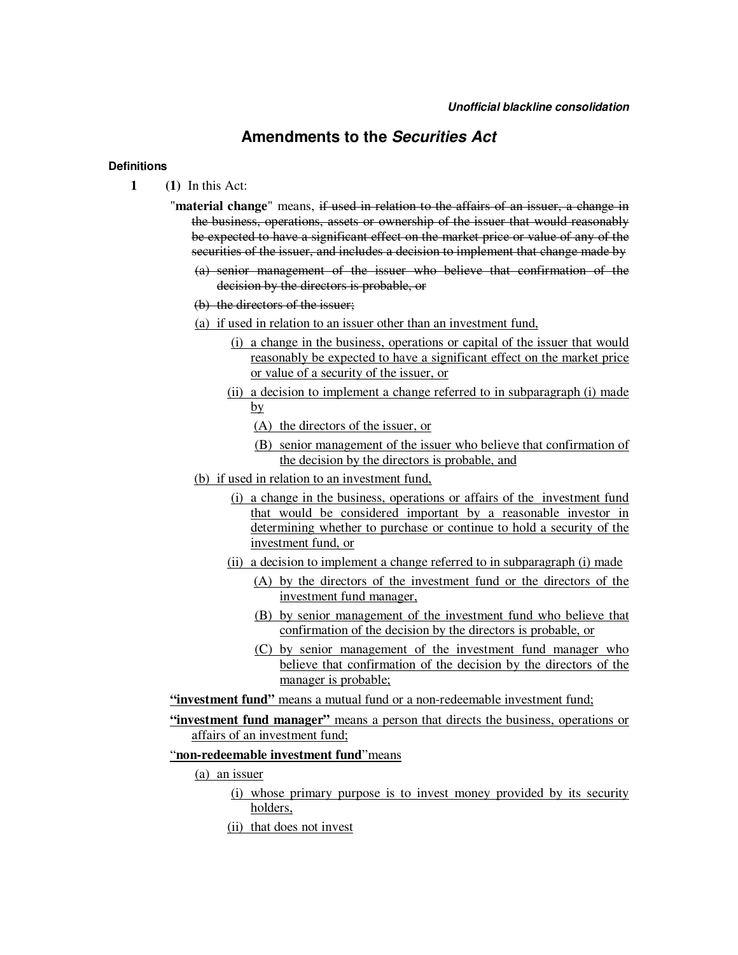# **Amendments to the** *Securities Act*

#### **Definitions**

- **1 (1)** In this Act:
	- "**material change**" means, if used in relation to the affairs of an issuer, a change in the business, operations, assets or ownership of the issuer that would reasonably be expected to have a significant effect on the market price or value of any of the securities of the issuer, and includes a decision to implement that change made by
		- (a) senior management of the issuer who believe that confirmation of the decision by the directors is probable, or
		- (b) the directors of the issuer;
		- (a) if used in relation to an issuer other than an investment fund,
			- (i) a change in the business, operations or capital of the issuer that would reasonably be expected to have a significant effect on the market price or value of a security of the issuer, or
			- (ii) a decision to implement a change referred to in subparagraph (i) made by
				- (A) the directors of the issuer, or
				- (B) senior management of the issuer who believe that confirmation of the decision by the directors is probable, and
		- (b) if used in relation to an investment fund,
			- (i) a change in the business, operations or affairs of the investment fund that would be considered important by a reasonable investor in determining whether to purchase or continue to hold a security of the investment fund, or
			- (ii) a decision to implement a change referred to in subparagraph (i) made
				- (A) by the directors of the investment fund or the directors of the investment fund manager,
				- (B) by senior management of the investment fund who believe that confirmation of the decision by the directors is probable, or
				- (C) by senior management of the investment fund manager who believe that confirmation of the decision by the directors of the manager is probable;
	- **"investment fund"** means a mutual fund or a non-redeemable investment fund;
	- **"investment fund manager"** means a person that directs the business, operations or affairs of an investment fund;

## "**non-redeemable investment fund**"means

## (a) an issuer

- (i) whose primary purpose is to invest money provided by its security holders,
- (ii) that does not invest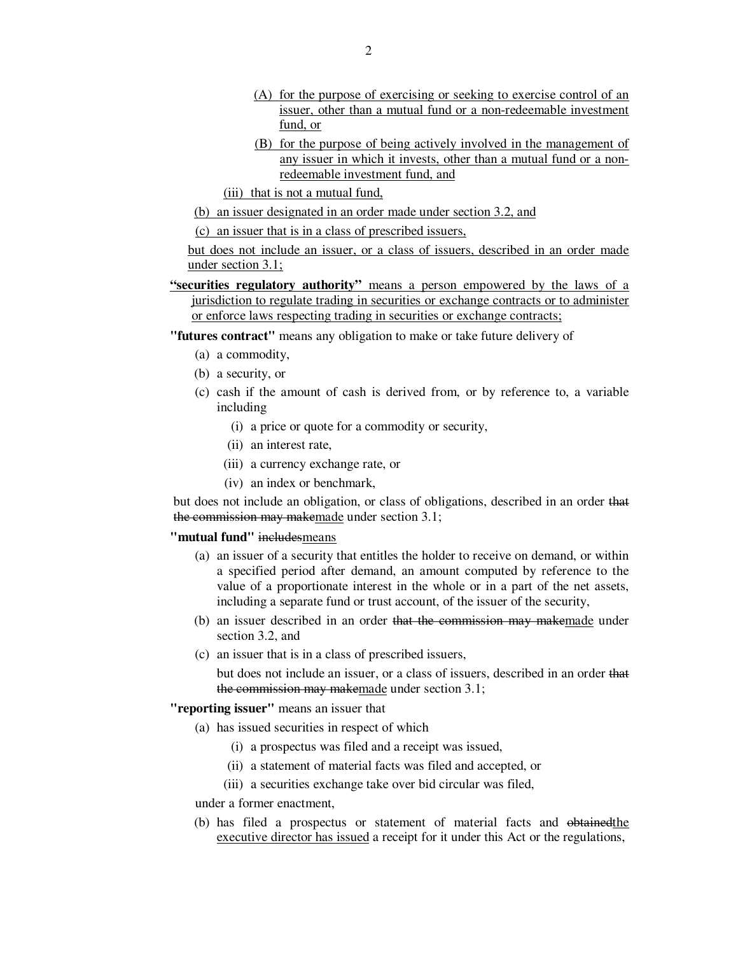- (A) for the purpose of exercising or seeking to exercise control of an issuer, other than a mutual fund or a non-redeemable investment fund, or
- (B) for the purpose of being actively involved in the management of any issuer in which it invests, other than a mutual fund or a nonredeemable investment fund, and
- (iii) that is not a mutual fund,
- (b) an issuer designated in an order made under section 3.2, and

(c) an issuer that is in a class of prescribed issuers,

but does not include an issuer, or a class of issuers, described in an order made under section 3.1;

- **"securities regulatory authority"** means a person empowered by the laws of a jurisdiction to regulate trading in securities or exchange contracts or to administer or enforce laws respecting trading in securities or exchange contracts;
- **"futures contract"** means any obligation to make or take future delivery of
	- (a) a commodity,
	- (b) a security, or
	- (c) cash if the amount of cash is derived from, or by reference to, a variable including
		- (i) a price or quote for a commodity or security,
		- (ii) an interest rate,
		- (iii) a currency exchange rate, or
		- (iv) an index or benchmark,

but does not include an obligation, or class of obligations, described in an order that the commission may makemade under section 3.1;

#### **"mutual fund"** includesmeans

- (a) an issuer of a security that entitles the holder to receive on demand, or within a specified period after demand, an amount computed by reference to the value of a proportionate interest in the whole or in a part of the net assets, including a separate fund or trust account, of the issuer of the security,
- (b) an issuer described in an order that the commission may makemade under section 3.2, and
- (c) an issuer that is in a class of prescribed issuers, but does not include an issuer, or a class of issuers, described in an order that the commission may makemade under section 3.1;

#### **"reporting issuer"** means an issuer that

- (a) has issued securities in respect of which
	- (i) a prospectus was filed and a receipt was issued,
	- (ii) a statement of material facts was filed and accepted, or
	- (iii) a securities exchange take over bid circular was filed,

under a former enactment,

(b) has filed a prospectus or statement of material facts and obtainedthe executive director has issued a receipt for it under this Act or the regulations,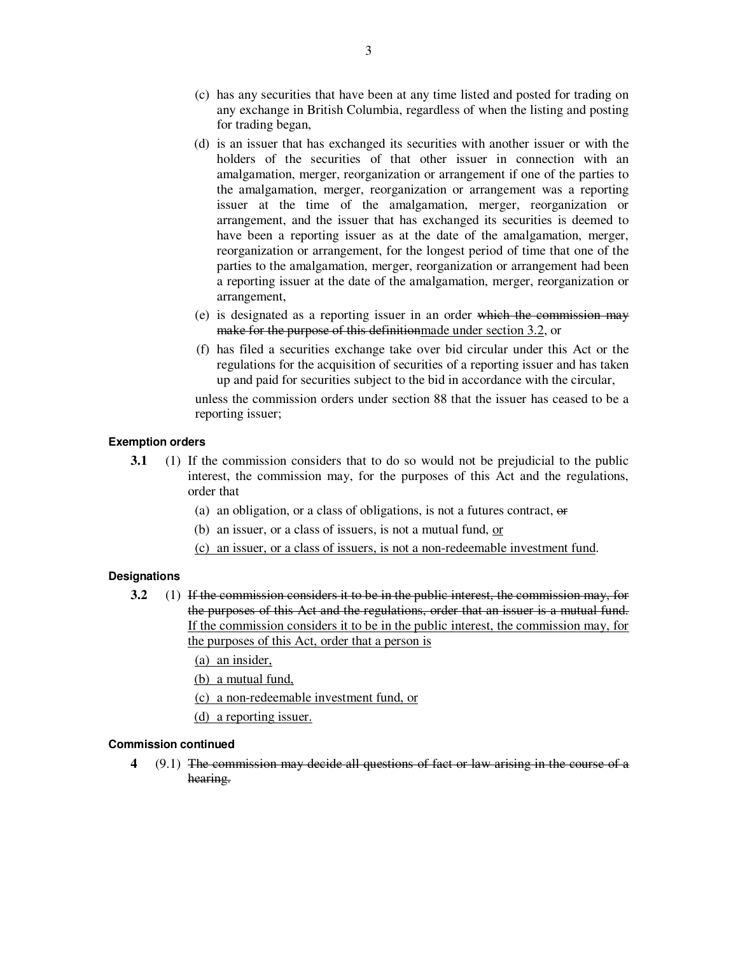- (c) has any securities that have been at any time listed and posted for trading on any exchange in British Columbia, regardless of when the listing and posting for trading began,
- (d) is an issuer that has exchanged its securities with another issuer or with the holders of the securities of that other issuer in connection with an amalgamation, merger, reorganization or arrangement if one of the parties to the amalgamation, merger, reorganization or arrangement was a reporting issuer at the time of the amalgamation, merger, reorganization or arrangement, and the issuer that has exchanged its securities is deemed to have been a reporting issuer as at the date of the amalgamation, merger, reorganization or arrangement, for the longest period of time that one of the parties to the amalgamation, merger, reorganization or arrangement had been a reporting issuer at the date of the amalgamation, merger, reorganization or arrangement,
- (e) is designated as a reporting issuer in an order which the commission may make for the purpose of this definitionmade under section 3.2, or
- (f) has filed a securities exchange take over bid circular under this Act or the regulations for the acquisition of securities of a reporting issuer and has taken up and paid for securities subject to the bid in accordance with the circular,

unless the commission orders under section 88 that the issuer has ceased to be a reporting issuer;

#### **Exemption orders**

- **3.1** (1) If the commission considers that to do so would not be prejudicial to the public interest, the commission may, for the purposes of this Act and the regulations, order that
	- (a) an obligation, or a class of obligations, is not a futures contract,  $\theta$
	- (b) an issuer, or a class of issuers, is not a mutual fund,  $or$
	- (c) an issuer, or a class of issuers, is not a non-redeemable investment fund.

#### **Designations**

**3.2** (1) If the commission considers it to be in the public interest, the commission may, for the purposes of this Act and the regulations, order that an issuer is a mutual fund. If the commission considers it to be in the public interest, the commission may, for the purposes of this Act, order that a person is

(a) an insider,

(b) a mutual fund,

- (c) a non-redeemable investment fund, or
- (d) a reporting issuer.

### **Commission continued**

**4** (9.1) The commission may decide all questions of fact or law arising in the course of a hearing.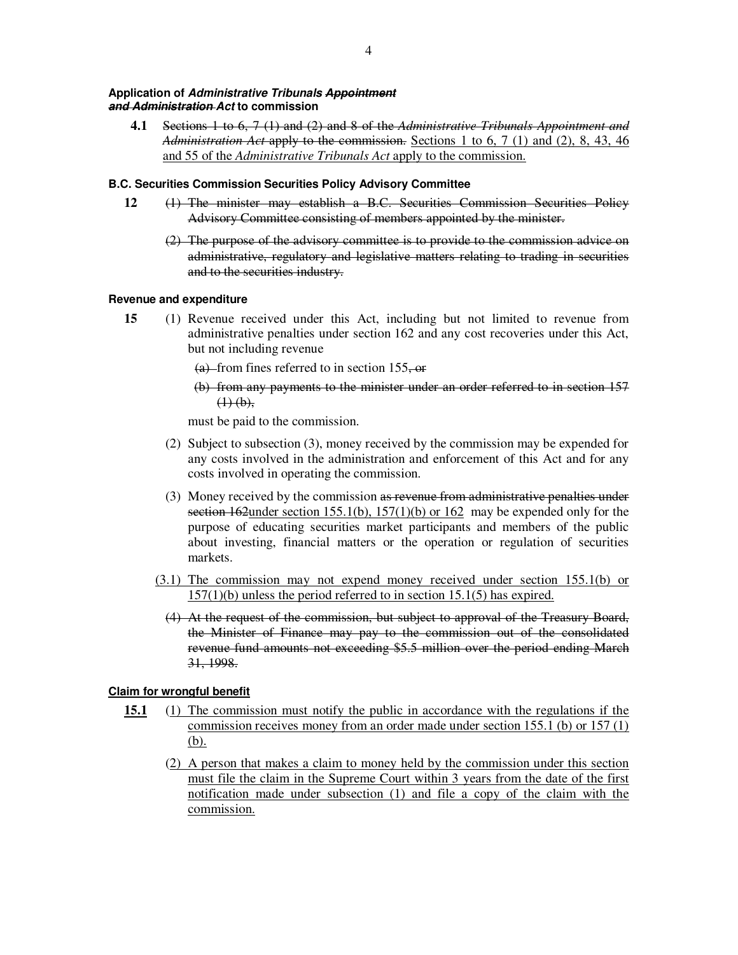#### **Application of** *Administrative Tribunals Appointment and Administration Act* **to commission**

**4.1** Sections 1 to 6, 7 (1) and (2) and 8 of the *Administrative Tribunals Appointment and Administration Act* apply to the commission. Sections 1 to 6, 7 (1) and (2), 8, 43, 46 and 55 of the *Administrative Tribunals Act* apply to the commission.

### **B.C. Securities Commission Securities Policy Advisory Committee**

- **12** (1) The minister may establish a B.C. Securities Commission Securities Policy Advisory Committee consisting of members appointed by the minister.
	- (2) The purpose of the advisory committee is to provide to the commission advice on administrative, regulatory and legislative matters relating to trading in securities and to the securities industry.

### **Revenue and expenditure**

**15** (1) Revenue received under this Act, including but not limited to revenue from administrative penalties under section 162 and any cost recoveries under this Act, but not including revenue

 $(a)$ -from fines referred to in section 155, or

(b) from any payments to the minister under an order referred to in section 157  $(1)$  (b),

must be paid to the commission.

- (2) Subject to subsection (3), money received by the commission may be expended for any costs involved in the administration and enforcement of this Act and for any costs involved in operating the commission.
- (3) Money received by the commission as revenue from administrative penalties under section 162 under section 155.1(b),  $157(1)(b)$  or 162 may be expended only for the purpose of educating securities market participants and members of the public about investing, financial matters or the operation or regulation of securities markets.
- (3.1) The commission may not expend money received under section 155.1(b) or 157(1)(b) unless the period referred to in section 15.1(5) has expired.
	- (4) At the request of the commission, but subject to approval of the Treasury Board, the Minister of Finance may pay to the commission out of the consolidated revenue fund amounts not exceeding \$5.5 million over the period ending March 31, 1998.

## **Claim for wrongful benefit**

- **15.1** (1) The commission must notify the public in accordance with the regulations if the commission receives money from an order made under section 155.1 (b) or 157 (1) (b).
	- (2) A person that makes a claim to money held by the commission under this section must file the claim in the Supreme Court within 3 years from the date of the first notification made under subsection (1) and file a copy of the claim with the commission.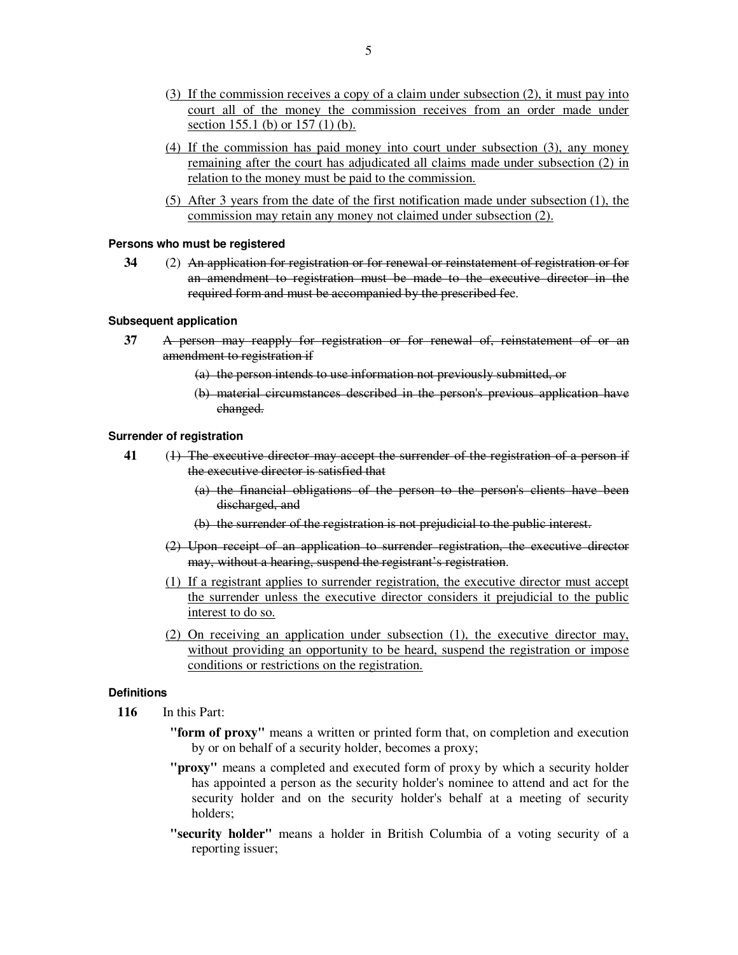- (3) If the commission receives a copy of a claim under subsection (2), it must pay into court all of the money the commission receives from an order made under section 155.1 (b) or 157 (1) (b).
- (4) If the commission has paid money into court under subsection (3), any money remaining after the court has adjudicated all claims made under subsection (2) in relation to the money must be paid to the commission.
- (5) After 3 years from the date of the first notification made under subsection (1), the commission may retain any money not claimed under subsection (2).

#### **Persons who must be registered**

**34** (2) An application for registration or for renewal or reinstatement of registration or for an amendment to registration must be made to the executive director in the required form and must be accompanied by the prescribed fee.

#### **Subsequent application**

- **37** A person may reapply for registration or for renewal of, reinstatement of or an amendment to registration if
	- (a) the person intends to use information not previously submitted, or
	- (b) material circumstances described in the person's previous application have changed.

#### **Surrender of registration**

- **41** (1) The executive director may accept the surrender of the registration of a person if the executive director is satisfied that
	- (a) the financial obligations of the person to the person's clients have been discharged, and
	- (b) the surrender of the registration is not prejudicial to the public interest.
	- (2) Upon receipt of an application to surrender registration, the executive director may, without a hearing, suspend the registrant's registration.
	- (1) If a registrant applies to surrender registration, the executive director must accept the surrender unless the executive director considers it prejudicial to the public interest to do so.
	- (2) On receiving an application under subsection (1), the executive director may, without providing an opportunity to be heard, suspend the registration or impose conditions or restrictions on the registration.

### **Definitions**

- **116** In this Part:
	- **"form of proxy"** means a written or printed form that, on completion and execution by or on behalf of a security holder, becomes a proxy;
	- **"proxy"** means a completed and executed form of proxy by which a security holder has appointed a person as the security holder's nominee to attend and act for the security holder and on the security holder's behalf at a meeting of security holders;
	- **"security holder"** means a holder in British Columbia of a voting security of a reporting issuer;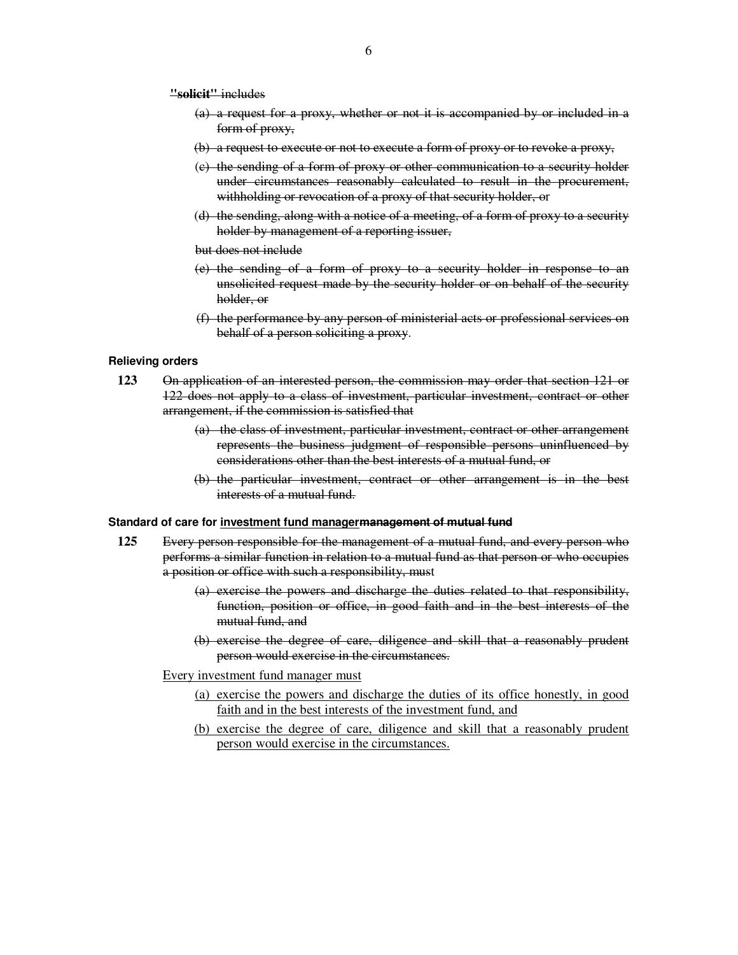**"solicit"** includes

- (a) a request for a proxy, whether or not it is accompanied by or included in a form of proxy,
- (b) a request to execute or not to execute a form of proxy or to revoke a proxy,
- (c) the sending of a form of proxy or other communication to a security holder under circumstances reasonably calculated to result in the procurement, withholding or revocation of a proxy of that security holder, or
- (d) the sending, along with a notice of a meeting, of a form of proxy to a security holder by management of a reporting issuer,

but does not include

- (e) the sending of a form of proxy to a security holder in response to an unsolicited request made by the security holder or on behalf of the security holder, or
- (f) the performance by any person of ministerial acts or professional services on behalf of a person soliciting a proxy.

#### **Relieving orders**

- **123** On application of an interested person, the commission may order that section 121 or 122 does not apply to a class of investment, particular investment, contract or other arrangement, if the commission is satisfied that
	- (a) the class of investment, particular investment, contract or other arrangement represents the business judgment of responsible persons uninfluenced by considerations other than the best interests of a mutual fund, or
	- (b) the particular investment, contract or other arrangement is in the best interests of a mutual fund.

#### **Standard of care for investment fund managermanagement of mutual fund**

- **125** Every person responsible for the management of a mutual fund, and every person who performs a similar function in relation to a mutual fund as that person or who occupies a position or office with such a responsibility, must
	- (a) exercise the powers and discharge the duties related to that responsibility, function, position or office, in good faith and in the best interests of the mutual fund, and
	- (b) exercise the degree of care, diligence and skill that a reasonably prudent person would exercise in the circumstances.

Every investment fund manager must

- (a) exercise the powers and discharge the duties of its office honestly, in good faith and in the best interests of the investment fund, and
- (b) exercise the degree of care, diligence and skill that a reasonably prudent person would exercise in the circumstances.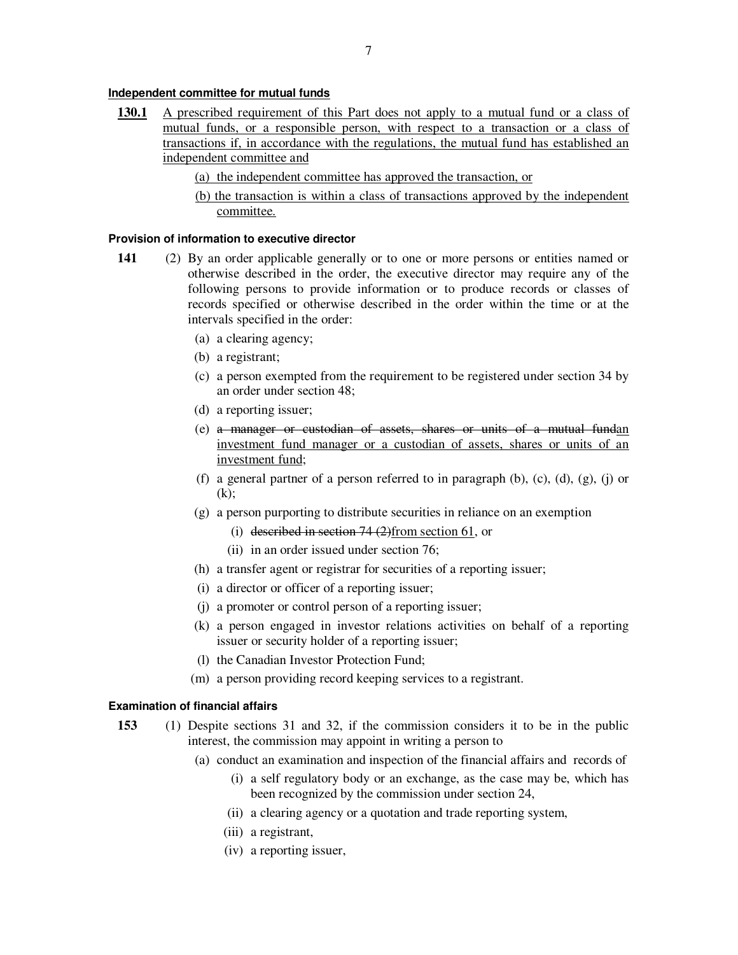### **Independent committee for mutual funds**

- **130.1** A prescribed requirement of this Part does not apply to a mutual fund or a class of mutual funds, or a responsible person, with respect to a transaction or a class of transactions if, in accordance with the regulations, the mutual fund has established an independent committee and
	- (a) the independent committee has approved the transaction, or
	- (b) the transaction is within a class of transactions approved by the independent committee.

#### **Provision of information to executive director**

- **141** (2) By an order applicable generally or to one or more persons or entities named or otherwise described in the order, the executive director may require any of the following persons to provide information or to produce records or classes of records specified or otherwise described in the order within the time or at the intervals specified in the order:
	- (a) a clearing agency;
	- (b) a registrant;
	- (c) a person exempted from the requirement to be registered under section 34 by an order under section 48;
	- (d) a reporting issuer;
	- (e) a manager or custodian of assets, shares or units of a mutual fundan investment fund manager or a custodian of assets, shares or units of an investment fund;
	- (f) a general partner of a person referred to in paragraph (b),  $(c)$ ,  $(d)$ ,  $(g)$ ,  $(i)$  or  $(k)$ :
	- (g) a person purporting to distribute securities in reliance on an exemption
		- (i) described in section  $74$  (2)from section 61, or
		- (ii) in an order issued under section 76;
	- (h) a transfer agent or registrar for securities of a reporting issuer;
	- (i) a director or officer of a reporting issuer;
	- (j) a promoter or control person of a reporting issuer;
	- (k) a person engaged in investor relations activities on behalf of a reporting issuer or security holder of a reporting issuer;
	- (l) the Canadian Investor Protection Fund;
	- (m) a person providing record keeping services to a registrant.

#### **Examination of financial affairs**

- **153** (1) Despite sections 31 and 32, if the commission considers it to be in the public interest, the commission may appoint in writing a person to
	- (a) conduct an examination and inspection of the financial affairs and records of
		- (i) a self regulatory body or an exchange, as the case may be, which has been recognized by the commission under section 24,
		- (ii) a clearing agency or a quotation and trade reporting system,
		- (iii) a registrant,
		- (iv) a reporting issuer,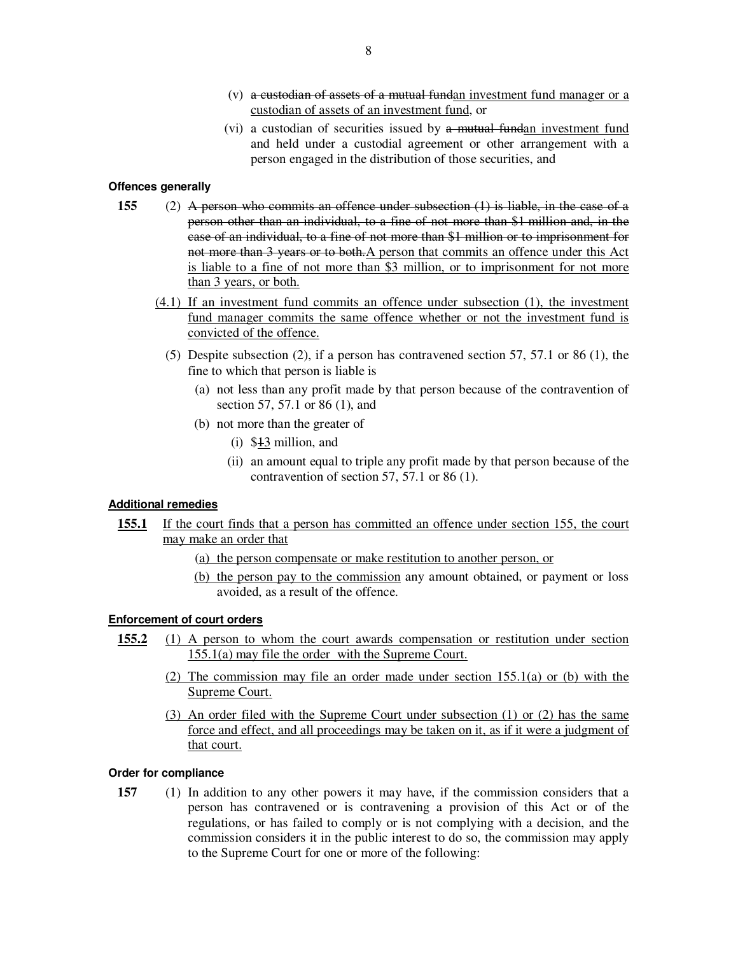- (v) a custodian of assets of a mutual fundan investment fund manager or  $a$ custodian of assets of an investment fund, or
- (vi) a custodian of securities issued by a mutual fundan investment fund and held under a custodial agreement or other arrangement with a person engaged in the distribution of those securities, and

### **Offences generally**

- **155** (2) A person who commits an offence under subsection (1) is liable, in the case of a person other than an individual, to a fine of not more than \$1 million and, in the case of an individual, to a fine of not more than \$1 million or to imprisonment for not more than 3 years or to both. A person that commits an offence under this Act is liable to a fine of not more than \$3 million, or to imprisonment for not more than 3 years, or both.
	- (4.1) If an investment fund commits an offence under subsection (1), the investment fund manager commits the same offence whether or not the investment fund is convicted of the offence.
		- (5) Despite subsection (2), if a person has contravened section 57, 57.1 or 86 (1), the fine to which that person is liable is
			- (a) not less than any profit made by that person because of the contravention of section 57, 57.1 or 86 (1), and
			- (b) not more than the greater of
				- (i) \$13 million, and
				- (ii) an amount equal to triple any profit made by that person because of the contravention of section 57, 57.1 or 86 (1).

## **Additional remedies**

- 155.1 If the court finds that a person has committed an offence under section 155, the court may make an order that
	- (a) the person compensate or make restitution to another person, or
	- (b) the person pay to the commission any amount obtained, or payment or loss avoided, as a result of the offence.

## **Enforcement of court orders**

- **155.2** (1) A person to whom the court awards compensation or restitution under section 155.1(a) may file the order with the Supreme Court.
	- (2) The commission may file an order made under section 155.1(a) or (b) with the Supreme Court.
	- (3) An order filed with the Supreme Court under subsection (1) or (2) has the same force and effect, and all proceedings may be taken on it, as if it were a judgment of that court.

### **Order for compliance**

**157** (1) In addition to any other powers it may have, if the commission considers that a person has contravened or is contravening a provision of this Act or of the regulations, or has failed to comply or is not complying with a decision, and the commission considers it in the public interest to do so, the commission may apply to the Supreme Court for one or more of the following: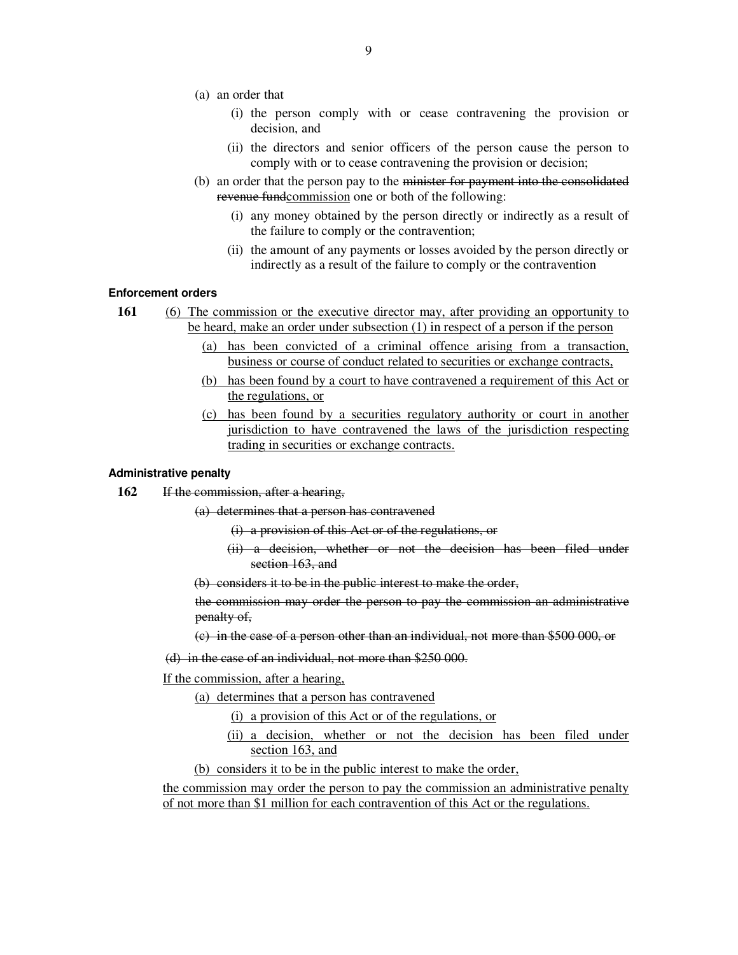- (a) an order that
	- (i) the person comply with or cease contravening the provision or decision, and
	- (ii) the directors and senior officers of the person cause the person to comply with or to cease contravening the provision or decision;
- (b) an order that the person pay to the minister for payment into the consolidated revenue fundcommission one or both of the following:
	- (i) any money obtained by the person directly or indirectly as a result of the failure to comply or the contravention;
	- (ii) the amount of any payments or losses avoided by the person directly or indirectly as a result of the failure to comply or the contravention

### **Enforcement orders**

- **161** (6) The commission or the executive director may, after providing an opportunity to be heard, make an order under subsection (1) in respect of a person if the person
	- (a) has been convicted of a criminal offence arising from a transaction, business or course of conduct related to securities or exchange contracts,
	- (b) has been found by a court to have contravened a requirement of this Act or the regulations, or
	- (c) has been found by a securities regulatory authority or court in another jurisdiction to have contravened the laws of the jurisdiction respecting trading in securities or exchange contracts.

#### **Administrative penalty**

- **162** If the commission, after a hearing,
	- (a) determines that a person has contravened
		- (i) a provision of this Act or of the regulations, or
		- (ii) a decision, whether or not the decision has been filed under section 163, and
	- (b) considers it to be in the public interest to make the order,
	- the commission may order the person to pay the commission an administrative penalty of,
	- (c) in the case of a person other than an individual, not more than \$500 000, or
	- (d) in the case of an individual, not more than \$250 000.
	- If the commission, after a hearing,
		- (a) determines that a person has contravened
			- (i) a provision of this Act or of the regulations, or
			- (ii) a decision, whether or not the decision has been filed under section 163, and

(b) considers it to be in the public interest to make the order,

the commission may order the person to pay the commission an administrative penalty of not more than \$1 million for each contravention of this Act or the regulations.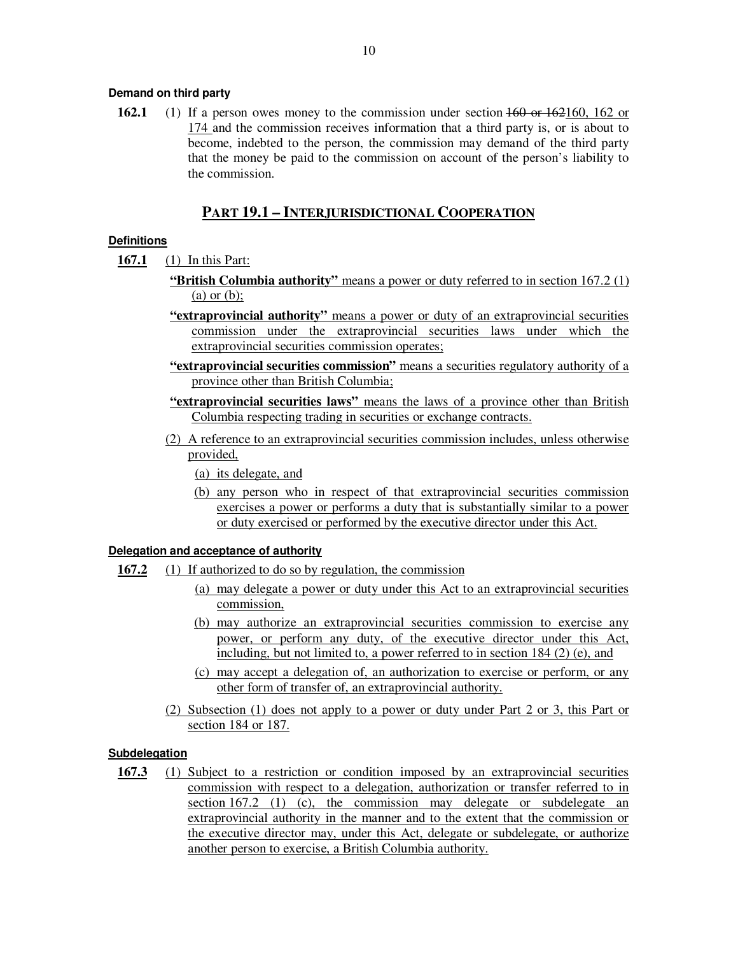### **Demand on third party**

**162.1** (1) If a person owes money to the commission under section  $\frac{160 \text{ or } 162 \text{ to } 162 \text{ or } 162 \text{ to } 162 \text{ or } 162 \text{ to } 162 \text{ or } 162 \text{ to } 162 \text{ or } 162 \text{ to } 162 \text{ or } 162 \text{ to } 162 \text{ or } 162 \text{ to } 162 \text{ or } 162 \text{ to } 162 \text{ or$ 174 and the commission receives information that a third party is, or is about to become, indebted to the person, the commission may demand of the third party that the money be paid to the commission on account of the person's liability to the commission.

## **PART 19.1 – INTERJURISDICTIONAL COOPERATION**

### **Definitions**

**167.1** (1) In this Part:

- **"British Columbia authority"** means a power or duty referred to in section 167.2 (1) (a) or (b);
- **"extraprovincial authority"** means a power or duty of an extraprovincial securities commission under the extraprovincial securities laws under which the extraprovincial securities commission operates;
- **"extraprovincial securities commission"** means a securities regulatory authority of a province other than British Columbia;
- **"extraprovincial securities laws"** means the laws of a province other than British Columbia respecting trading in securities or exchange contracts.
- (2) A reference to an extraprovincial securities commission includes, unless otherwise provided,

(a) its delegate, and

(b) any person who in respect of that extraprovincial securities commission exercises a power or performs a duty that is substantially similar to a power or duty exercised or performed by the executive director under this Act.

### **Delegation and acceptance of authority**

- **167.2** (1) If authorized to do so by regulation, the commission
	- (a) may delegate a power or duty under this Act to an extraprovincial securities commission,
	- (b) may authorize an extraprovincial securities commission to exercise any power, or perform any duty, of the executive director under this Act, including, but not limited to, a power referred to in section 184 (2) (e), and
	- (c) may accept a delegation of, an authorization to exercise or perform, or any other form of transfer of, an extraprovincial authority.
	- (2) Subsection (1) does not apply to a power or duty under Part 2 or 3, this Part or section 184 or 187.

### **Subdelegation**

**167.3** (1) Subject to a restriction or condition imposed by an extraprovincial securities commission with respect to a delegation, authorization or transfer referred to in section 167.2 (1) (c), the commission may delegate or subdelegate an extraprovincial authority in the manner and to the extent that the commission or the executive director may, under this Act, delegate or subdelegate, or authorize another person to exercise, a British Columbia authority.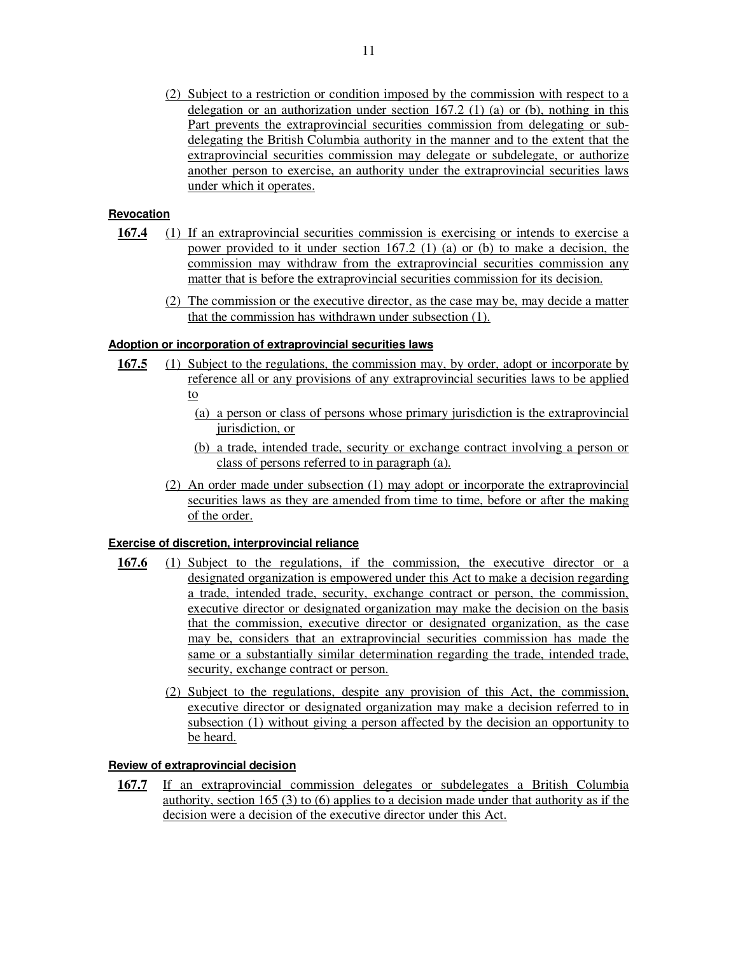(2) Subject to a restriction or condition imposed by the commission with respect to a delegation or an authorization under section  $167.2$  (1) (a) or (b), nothing in this Part prevents the extraprovincial securities commission from delegating or subdelegating the British Columbia authority in the manner and to the extent that the extraprovincial securities commission may delegate or subdelegate, or authorize another person to exercise, an authority under the extraprovincial securities laws under which it operates.

## **Revocation**

- **167.4** (1) If an extraprovincial securities commission is exercising or intends to exercise a power provided to it under section 167.2 (1) (a) or (b) to make a decision, the commission may withdraw from the extraprovincial securities commission any matter that is before the extraprovincial securities commission for its decision.
	- (2) The commission or the executive director, as the case may be, may decide a matter that the commission has withdrawn under subsection (1).

### **Adoption or incorporation of extraprovincial securities laws**

- 167.5 (1) Subject to the regulations, the commission may, by order, adopt or incorporate by reference all or any provisions of any extraprovincial securities laws to be applied to
	- (a) a person or class of persons whose primary jurisdiction is the extraprovincial jurisdiction, or
	- (b) a trade, intended trade, security or exchange contract involving a person or class of persons referred to in paragraph (a).
	- (2) An order made under subsection (1) may adopt or incorporate the extraprovincial securities laws as they are amended from time to time, before or after the making of the order.

## **Exercise of discretion, interprovincial reliance**

- **167.6** (1) Subject to the regulations, if the commission, the executive director or a designated organization is empowered under this Act to make a decision regarding a trade, intended trade, security, exchange contract or person, the commission, executive director or designated organization may make the decision on the basis that the commission, executive director or designated organization, as the case may be, considers that an extraprovincial securities commission has made the same or a substantially similar determination regarding the trade, intended trade, security, exchange contract or person.
	- (2) Subject to the regulations, despite any provision of this Act, the commission, executive director or designated organization may make a decision referred to in subsection (1) without giving a person affected by the decision an opportunity to be heard.

#### **Review of extraprovincial decision**

**167.7** If an extraprovincial commission delegates or subdelegates a British Columbia authority, section 165 (3) to (6) applies to a decision made under that authority as if the decision were a decision of the executive director under this Act.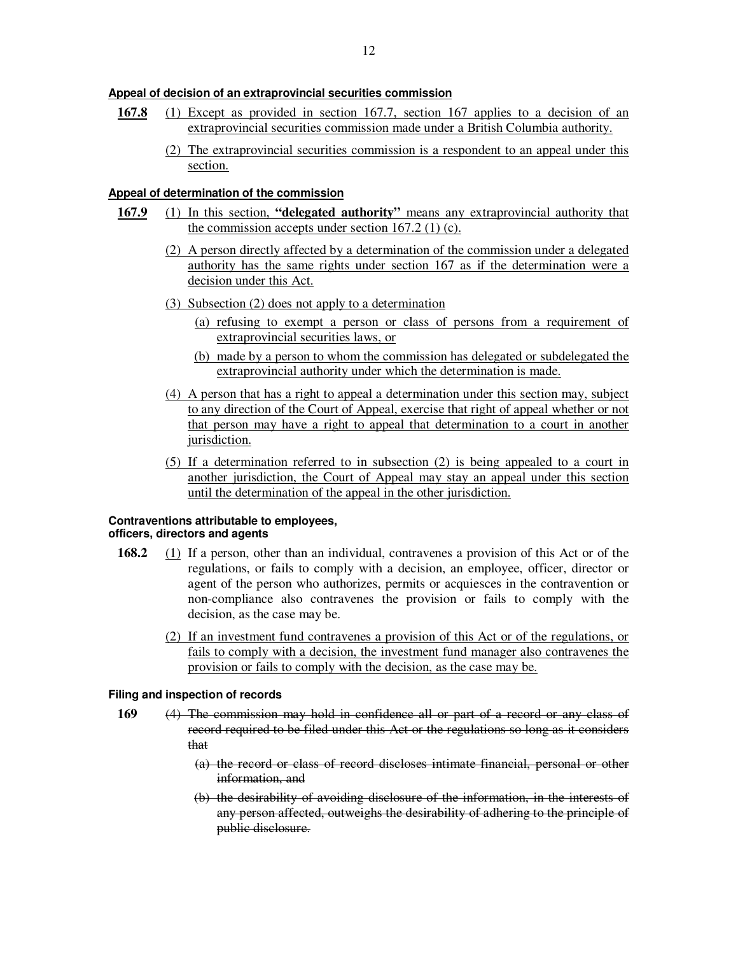## **Appeal of decision of an extraprovincial securities commission**

- **167.8** (1) Except as provided in section 167.7, section 167 applies to a decision of an extraprovincial securities commission made under a British Columbia authority.
	- (2) The extraprovincial securities commission is a respondent to an appeal under this section.

### **Appeal of determination of the commission**

- **167.9** (1) In this section, **"delegated authority"** means any extraprovincial authority that the commission accepts under section  $167.2$  (1) (c).
	- (2) A person directly affected by a determination of the commission under a delegated authority has the same rights under section 167 as if the determination were a decision under this Act.
	- (3) Subsection (2) does not apply to a determination
		- (a) refusing to exempt a person or class of persons from a requirement of extraprovincial securities laws, or
		- (b) made by a person to whom the commission has delegated or subdelegated the extraprovincial authority under which the determination is made.
	- (4) A person that has a right to appeal a determination under this section may, subject to any direction of the Court of Appeal, exercise that right of appeal whether or not that person may have a right to appeal that determination to a court in another jurisdiction.
	- (5) If a determination referred to in subsection (2) is being appealed to a court in another jurisdiction, the Court of Appeal may stay an appeal under this section until the determination of the appeal in the other jurisdiction.

#### **Contraventions attributable to employees, officers, directors and agents**

- **168.2** (1) If a person, other than an individual, contravenes a provision of this Act or of the regulations, or fails to comply with a decision, an employee, officer, director or agent of the person who authorizes, permits or acquiesces in the contravention or non-compliance also contravenes the provision or fails to comply with the decision, as the case may be.
	- (2) If an investment fund contravenes a provision of this Act or of the regulations, or fails to comply with a decision, the investment fund manager also contravenes the provision or fails to comply with the decision, as the case may be.

#### **Filing and inspection of records**

- **169** (4) The commission may hold in confidence all or part of a record or any class of record required to be filed under this Act or the regulations so long as it considers that
	- (a) the record or class of record discloses intimate financial, personal or other information, and
	- (b) the desirability of avoiding disclosure of the information, in the interests of any person affected, outweighs the desirability of adhering to the principle of public disclosure.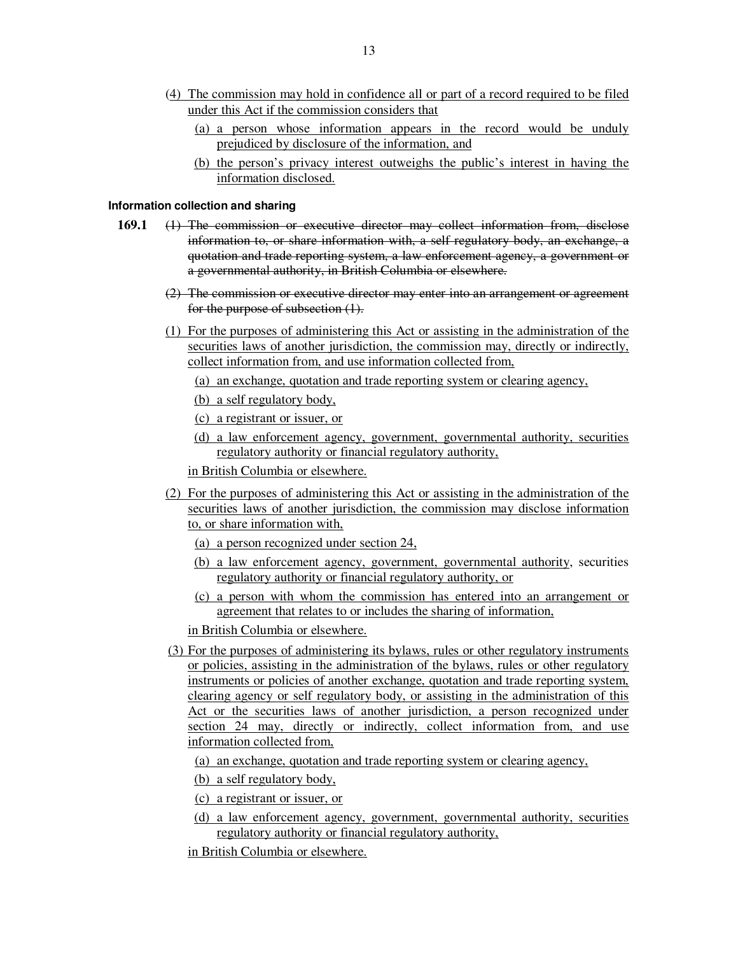- (4) The commission may hold in confidence all or part of a record required to be filed under this Act if the commission considers that
	- (a) a person whose information appears in the record would be unduly prejudiced by disclosure of the information, and
	- (b) the person's privacy interest outweighs the public's interest in having the information disclosed.

#### **Information collection and sharing**

- **169.1** (1) The commission or executive director may collect information from, disclose information to, or share information with, a self regulatory body, an exchange, a quotation and trade reporting system, a law enforcement agency, a government or a governmental authority, in British Columbia or elsewhere.
	- (2) The commission or executive director may enter into an arrangement or agreement for the purpose of subsection (1).
	- (1) For the purposes of administering this Act or assisting in the administration of the securities laws of another jurisdiction, the commission may, directly or indirectly, collect information from, and use information collected from,
		- (a) an exchange, quotation and trade reporting system or clearing agency,
		- (b) a self regulatory body,
		- (c) a registrant or issuer, or
		- (d) a law enforcement agency, government, governmental authority, securities regulatory authority or financial regulatory authority,
		- in British Columbia or elsewhere.
	- (2) For the purposes of administering this Act or assisting in the administration of the securities laws of another jurisdiction, the commission may disclose information to, or share information with,
		- (a) a person recognized under section 24,
		- (b) a law enforcement agency, government, governmental authority, securities regulatory authority or financial regulatory authority, or
		- (c) a person with whom the commission has entered into an arrangement or agreement that relates to or includes the sharing of information,
		- in British Columbia or elsewhere.
	- (3) For the purposes of administering its bylaws, rules or other regulatory instruments or policies, assisting in the administration of the bylaws, rules or other regulatory instruments or policies of another exchange, quotation and trade reporting system, clearing agency or self regulatory body, or assisting in the administration of this Act or the securities laws of another jurisdiction, a person recognized under section 24 may, directly or indirectly, collect information from, and use information collected from,
		- (a) an exchange, quotation and trade reporting system or clearing agency,
		- (b) a self regulatory body,
		- (c) a registrant or issuer, or
		- (d) a law enforcement agency, government, governmental authority, securities regulatory authority or financial regulatory authority,
		- in British Columbia or elsewhere.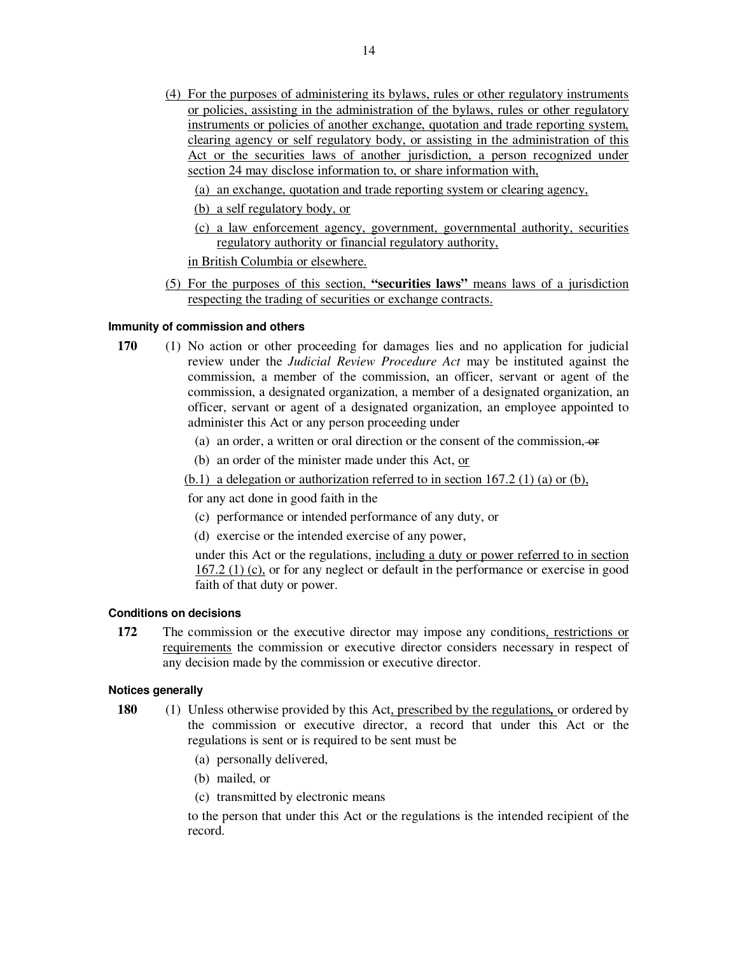- (4) For the purposes of administering its bylaws, rules or other regulatory instruments or policies, assisting in the administration of the bylaws, rules or other regulatory instruments or policies of another exchange, quotation and trade reporting system, clearing agency or self regulatory body, or assisting in the administration of this Act or the securities laws of another jurisdiction, a person recognized under section 24 may disclose information to, or share information with,
	- (a) an exchange, quotation and trade reporting system or clearing agency,
	- (b) a self regulatory body, or
	- (c) a law enforcement agency, government, governmental authority, securities regulatory authority or financial regulatory authority,
	- in British Columbia or elsewhere.
- (5) For the purposes of this section, **"securities laws"** means laws of a jurisdiction respecting the trading of securities or exchange contracts.

#### **Immunity of commission and others**

- **170** (1) No action or other proceeding for damages lies and no application for judicial review under the *Judicial Review Procedure Act* may be instituted against the commission, a member of the commission, an officer, servant or agent of the commission, a designated organization, a member of a designated organization, an officer, servant or agent of a designated organization, an employee appointed to administer this Act or any person proceeding under
	- (a) an order, a written or oral direction or the consent of the commission, or
	- (b) an order of the minister made under this Act, or

 $(b.1)$  a delegation or authorization referred to in section 167.2 (1) (a) or (b),

for any act done in good faith in the

- (c) performance or intended performance of any duty, or
- (d) exercise or the intended exercise of any power,

under this Act or the regulations, including a duty or power referred to in section 167.2 (1) (c), or for any neglect or default in the performance or exercise in good faith of that duty or power.

### **Conditions on decisions**

**172** The commission or the executive director may impose any conditions, restrictions or requirements the commission or executive director considers necessary in respect of any decision made by the commission or executive director.

## **Notices generally**

- **180** (1) Unless otherwise provided by this Act, prescribed by the regulations*,* or ordered by the commission or executive director, a record that under this Act or the regulations is sent or is required to be sent must be
	- (a) personally delivered,
	- (b) mailed, or
	- (c) transmitted by electronic means

to the person that under this Act or the regulations is the intended recipient of the record.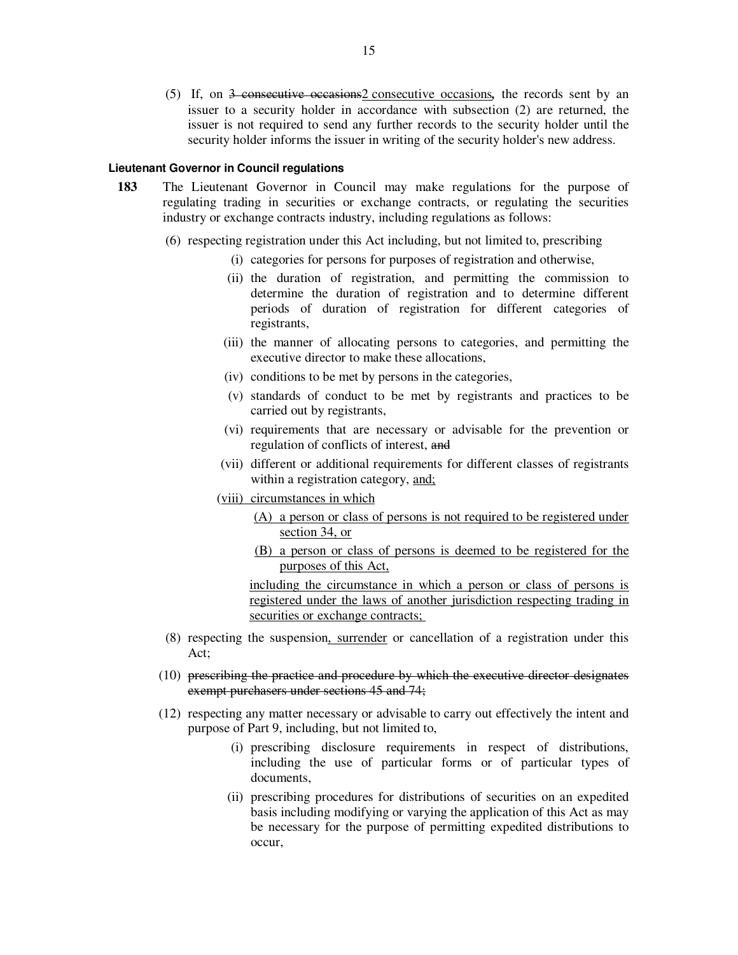(5) If, on 3 consecutive occasions2 consecutive occasions*,* the records sent by an issuer to a security holder in accordance with subsection (2) are returned, the issuer is not required to send any further records to the security holder until the security holder informs the issuer in writing of the security holder's new address.

#### **Lieutenant Governor in Council regulations**

- **183** The Lieutenant Governor in Council may make regulations for the purpose of regulating trading in securities or exchange contracts, or regulating the securities industry or exchange contracts industry, including regulations as follows:
	- (6) respecting registration under this Act including, but not limited to, prescribing
		- (i) categories for persons for purposes of registration and otherwise,
		- (ii) the duration of registration, and permitting the commission to determine the duration of registration and to determine different periods of duration of registration for different categories of registrants,
		- (iii) the manner of allocating persons to categories, and permitting the executive director to make these allocations,
		- (iv) conditions to be met by persons in the categories,
		- (v) standards of conduct to be met by registrants and practices to be carried out by registrants,
		- (vi) requirements that are necessary or advisable for the prevention or regulation of conflicts of interest, and
		- (vii) different or additional requirements for different classes of registrants within a registration category, and;
		- (viii) circumstances in which
			- (A) a person or class of persons is not required to be registered under section 34, or
			- (B) a person or class of persons is deemed to be registered for the purposes of this Act,

including the circumstance in which a person or class of persons is registered under the laws of another jurisdiction respecting trading in securities or exchange contracts;

- (8) respecting the suspension, surrender or cancellation of a registration under this Act;
- (10) prescribing the practice and procedure by which the executive director designates exempt purchasers under sections 45 and 74;
- (12) respecting any matter necessary or advisable to carry out effectively the intent and purpose of Part 9, including, but not limited to,
	- (i) prescribing disclosure requirements in respect of distributions, including the use of particular forms or of particular types of documents,
	- (ii) prescribing procedures for distributions of securities on an expedited basis including modifying or varying the application of this Act as may be necessary for the purpose of permitting expedited distributions to occur,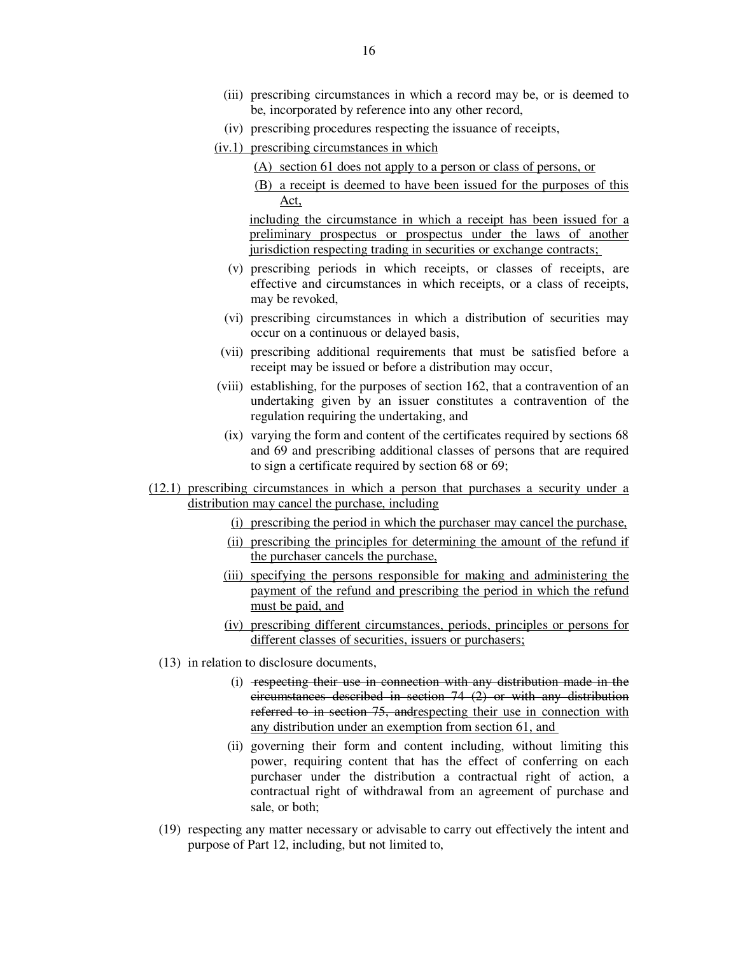- (iii) prescribing circumstances in which a record may be, or is deemed to be, incorporated by reference into any other record,
- (iv) prescribing procedures respecting the issuance of receipts,
- (iv.1) prescribing circumstances in which
	- (A) section 61 does not apply to a person or class of persons, or
	- (B) a receipt is deemed to have been issued for the purposes of this Act,

including the circumstance in which a receipt has been issued for a preliminary prospectus or prospectus under the laws of another jurisdiction respecting trading in securities or exchange contracts;

- (v) prescribing periods in which receipts, or classes of receipts, are effective and circumstances in which receipts, or a class of receipts, may be revoked,
- (vi) prescribing circumstances in which a distribution of securities may occur on a continuous or delayed basis,
- (vii) prescribing additional requirements that must be satisfied before a receipt may be issued or before a distribution may occur,
- (viii) establishing, for the purposes of section 162, that a contravention of an undertaking given by an issuer constitutes a contravention of the regulation requiring the undertaking, and
- (ix) varying the form and content of the certificates required by sections 68 and 69 and prescribing additional classes of persons that are required to sign a certificate required by section 68 or 69;
- (12.1) prescribing circumstances in which a person that purchases a security under a distribution may cancel the purchase, including
	- (i) prescribing the period in which the purchaser may cancel the purchase,
	- (ii) prescribing the principles for determining the amount of the refund if the purchaser cancels the purchase,
	- (iii) specifying the persons responsible for making and administering the payment of the refund and prescribing the period in which the refund must be paid, and
	- (iv) prescribing different circumstances, periods, principles or persons for different classes of securities, issuers or purchasers;
	- (13) in relation to disclosure documents,
		- (i) respecting their use in connection with any distribution made in the circumstances described in section 74 (2) or with any distribution referred to in section 75, andrespecting their use in connection with any distribution under an exemption from section 61, and
		- (ii) governing their form and content including, without limiting this power, requiring content that has the effect of conferring on each purchaser under the distribution a contractual right of action, a contractual right of withdrawal from an agreement of purchase and sale, or both;
	- (19) respecting any matter necessary or advisable to carry out effectively the intent and purpose of Part 12, including, but not limited to,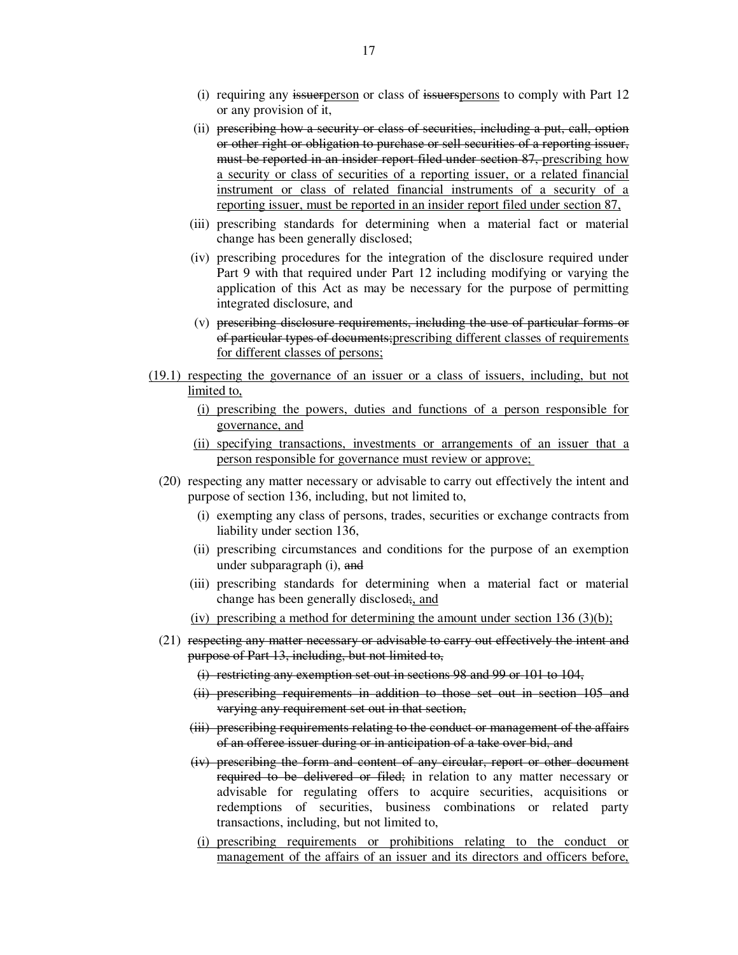- (i) requiring any issuerperson or class of issuerspersons to comply with Part 12 or any provision of it,
- (ii) prescribing how a security or class of securities, including a put, call, option or other right or obligation to purchase or sell securities of a reporting issuer, must be reported in an insider report filed under section 87, prescribing how a security or class of securities of a reporting issuer, or a related financial instrument or class of related financial instruments of a security of a reporting issuer, must be reported in an insider report filed under section 87,
- (iii) prescribing standards for determining when a material fact or material change has been generally disclosed;
- (iv) prescribing procedures for the integration of the disclosure required under Part 9 with that required under Part 12 including modifying or varying the application of this Act as may be necessary for the purpose of permitting integrated disclosure, and
- (v) prescribing disclosure requirements, including the use of particular forms or of particular types of documents;prescribing different classes of requirements for different classes of persons;
- (19.1) respecting the governance of an issuer or a class of issuers, including, but not limited to,
	- (i) prescribing the powers, duties and functions of a person responsible for governance, and
	- (ii) specifying transactions, investments or arrangements of an issuer that a person responsible for governance must review or approve;
	- (20) respecting any matter necessary or advisable to carry out effectively the intent and purpose of section 136, including, but not limited to,
		- (i) exempting any class of persons, trades, securities or exchange contracts from liability under section 136,
		- (ii) prescribing circumstances and conditions for the purpose of an exemption under subparagraph (i), and
		- (iii) prescribing standards for determining when a material fact or material change has been generally disclosed;, and
		- (iv) prescribing a method for determining the amount under section  $136 (3)(b)$ ;
	- (21) respecting any matter necessary or advisable to carry out effectively the intent and purpose of Part 13, including, but not limited to,
		- (i) restricting any exemption set out in sections 98 and 99 or 101 to 104,
		- (ii) prescribing requirements in addition to those set out in section 105 and varying any requirement set out in that section,
		- (iii) prescribing requirements relating to the conduct or management of the affairs of an offeree issuer during or in anticipation of a take over bid, and
		- (iv) prescribing the form and content of any circular, report or other document required to be delivered or filed; in relation to any matter necessary or advisable for regulating offers to acquire securities, acquisitions or redemptions of securities, business combinations or related party transactions, including, but not limited to,
		- (i) prescribing requirements or prohibitions relating to the conduct or management of the affairs of an issuer and its directors and officers before,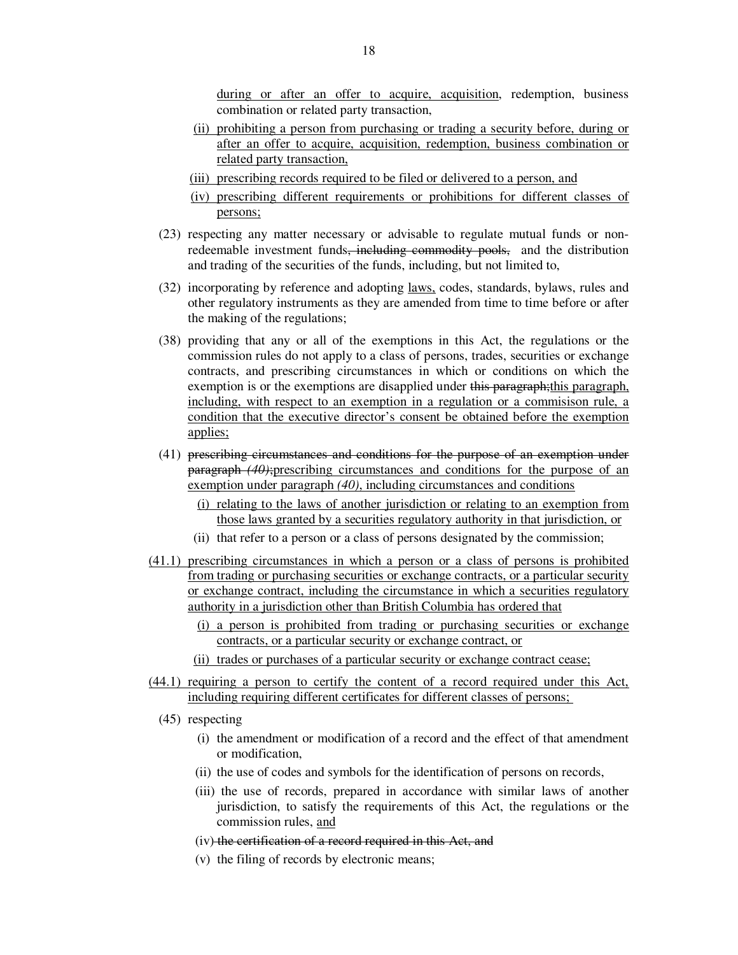during or after an offer to acquire, acquisition, redemption, business combination or related party transaction,

- (ii) prohibiting a person from purchasing or trading a security before, during or after an offer to acquire, acquisition, redemption, business combination or related party transaction,
- (iii) prescribing records required to be filed or delivered to a person, and
- (iv) prescribing different requirements or prohibitions for different classes of persons;
- (23) respecting any matter necessary or advisable to regulate mutual funds or nonredeemable investment funds, including commodity pools, and the distribution and trading of the securities of the funds, including, but not limited to,
- (32) incorporating by reference and adopting laws, codes, standards, bylaws, rules and other regulatory instruments as they are amended from time to time before or after the making of the regulations;
- (38) providing that any or all of the exemptions in this Act, the regulations or the commission rules do not apply to a class of persons, trades, securities or exchange contracts, and prescribing circumstances in which or conditions on which the exemption is or the exemptions are disapplied under this paragraph; this paragraph, including, with respect to an exemption in a regulation or a commisison rule, a condition that the executive director's consent be obtained before the exemption applies;
- (41) prescribing circumstances and conditions for the purpose of an exemption under paragraph *(40)*;prescribing circumstances and conditions for the purpose of an exemption under paragraph *(40)*, including circumstances and conditions
	- (i) relating to the laws of another jurisdiction or relating to an exemption from those laws granted by a securities regulatory authority in that jurisdiction, or
	- (ii) that refer to a person or a class of persons designated by the commission;
- (41.1) prescribing circumstances in which a person or a class of persons is prohibited from trading or purchasing securities or exchange contracts, or a particular security or exchange contract, including the circumstance in which a securities regulatory authority in a jurisdiction other than British Columbia has ordered that
	- (i) a person is prohibited from trading or purchasing securities or exchange contracts, or a particular security or exchange contract, or
	- (ii) trades or purchases of a particular security or exchange contract cease;
- (44.1) requiring a person to certify the content of a record required under this Act, including requiring different certificates for different classes of persons;
	- (45) respecting
		- (i) the amendment or modification of a record and the effect of that amendment or modification,
		- (ii) the use of codes and symbols for the identification of persons on records,
		- (iii) the use of records, prepared in accordance with similar laws of another jurisdiction, to satisfy the requirements of this Act, the regulations or the commission rules, and
		- (iv) the certification of a record required in this Act, and
		- (v) the filing of records by electronic means;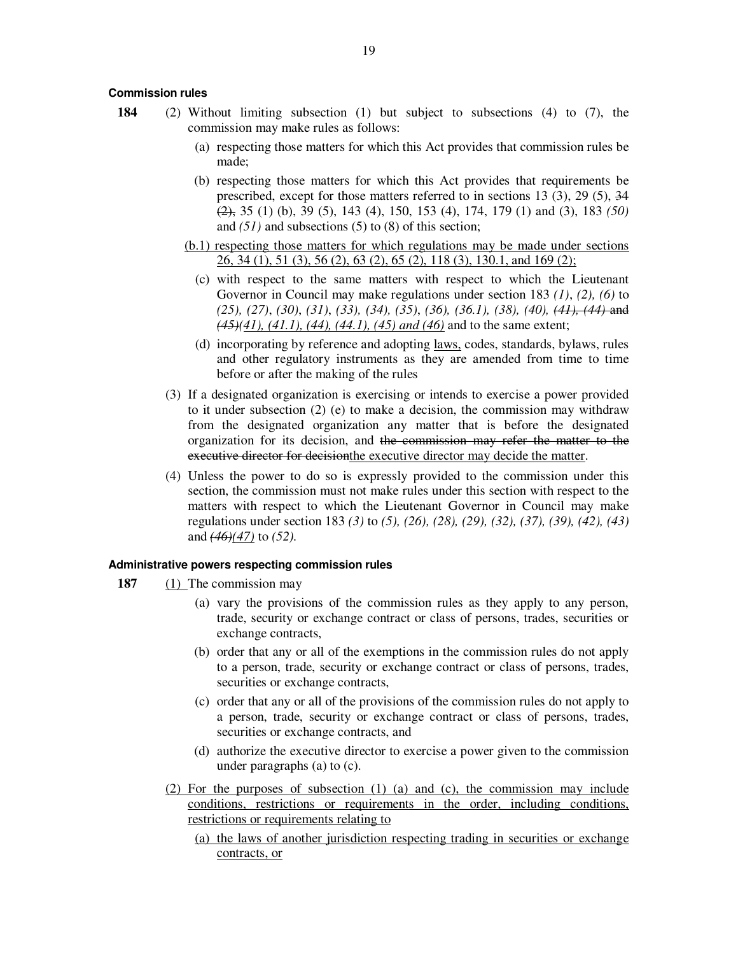#### **Commission rules**

- **184** (2) Without limiting subsection (1) but subject to subsections (4) to (7), the commission may make rules as follows:
	- (a) respecting those matters for which this Act provides that commission rules be made;
	- (b) respecting those matters for which this Act provides that requirements be prescribed, except for those matters referred to in sections 13 (3), 29 (5), 34 (2), 35 (1) (b), 39 (5), 143 (4), 150, 153 (4), 174, 179 (1) and (3), 183 *(50)* and *(51)* and subsections (5) to (8) of this section;
	- (b.1) respecting those matters for which regulations may be made under sections 26, 34 (1), 51 (3), 56 (2), 63 (2), 65 (2), 118 (3), 130.1, and 169 (2);
		- (c) with respect to the same matters with respect to which the Lieutenant Governor in Council may make regulations under section 183 *(1)*, *(2), (6)* to *(25), (27)*, *(30)*, *(31)*, *(33), (34), (35)*, *(36), (36.1), (38), (40), (41), (44)* and *(45)(41), (41.1), (44), (44.1), (45) and (46)* and to the same extent;
		- (d) incorporating by reference and adopting laws, codes, standards, bylaws, rules and other regulatory instruments as they are amended from time to time before or after the making of the rules
	- (3) If a designated organization is exercising or intends to exercise a power provided to it under subsection (2) (e) to make a decision, the commission may withdraw from the designated organization any matter that is before the designated organization for its decision, and the commission may refer the matter to the executive director for decisionthe executive director may decide the matter.
	- (4) Unless the power to do so is expressly provided to the commission under this section, the commission must not make rules under this section with respect to the matters with respect to which the Lieutenant Governor in Council may make regulations under section 183 *(3)* to *(5), (26), (28), (29), (32), (37), (39), (42), (43)* and *(46)(47)* to *(52).*

#### **Administrative powers respecting commission rules**

- **187** (1) The commission may
	- (a) vary the provisions of the commission rules as they apply to any person, trade, security or exchange contract or class of persons, trades, securities or exchange contracts,
	- (b) order that any or all of the exemptions in the commission rules do not apply to a person, trade, security or exchange contract or class of persons, trades, securities or exchange contracts,
	- (c) order that any or all of the provisions of the commission rules do not apply to a person, trade, security or exchange contract or class of persons, trades, securities or exchange contracts, and
	- (d) authorize the executive director to exercise a power given to the commission under paragraphs (a) to (c).
	- (2) For the purposes of subsection (1) (a) and (c), the commission may include conditions, restrictions or requirements in the order, including conditions, restrictions or requirements relating to
		- (a) the laws of another jurisdiction respecting trading in securities or exchange contracts, or